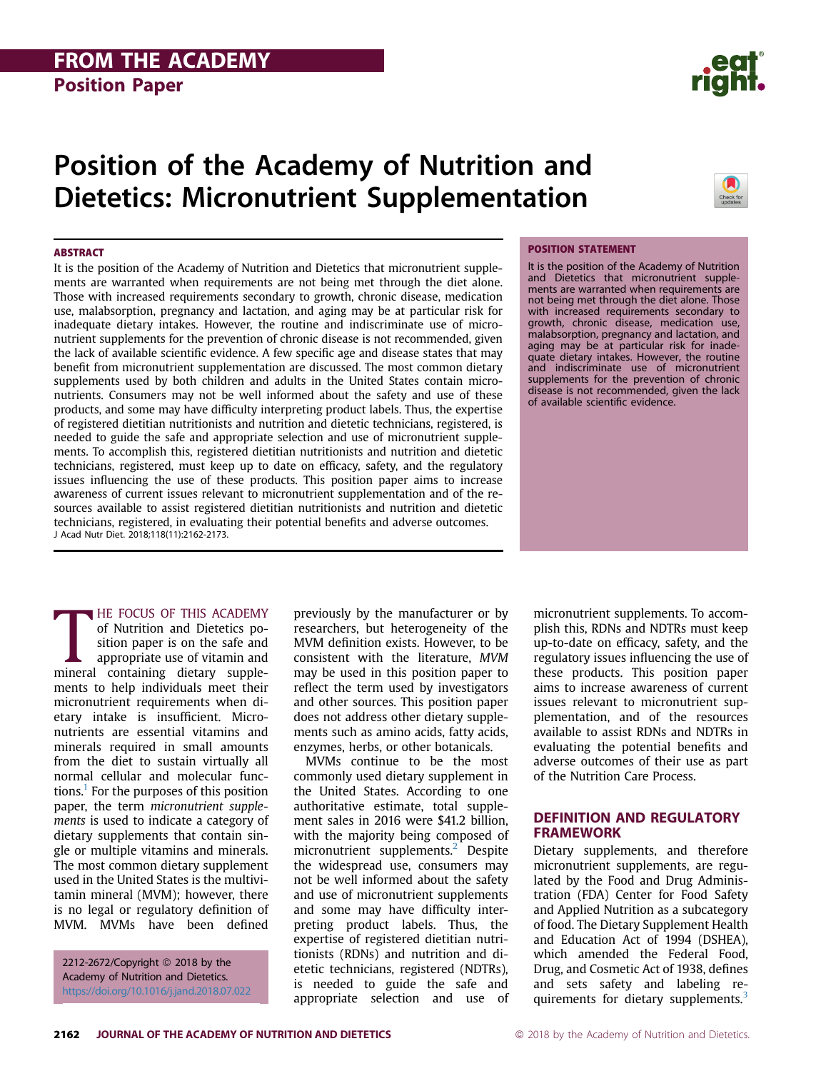# Position of the Academy of Nutrition and Dietetics: Micronutrient Supplementation

#### **ABSTRACT**

It is the position of the Academy of Nutrition and Dietetics that micronutrient supplements are warranted when requirements are not being met through the diet alone. Those with increased requirements secondary to growth, chronic disease, medication use, malabsorption, pregnancy and lactation, and aging may be at particular risk for inadequate dietary intakes. However, the routine and indiscriminate use of micronutrient supplements for the prevention of chronic disease is not recommended, given the lack of available scientific evidence. A few specific age and disease states that may benefit from micronutrient supplementation are discussed. The most common dietary supplements used by both children and adults in the United States contain micronutrients. Consumers may not be well informed about the safety and use of these products, and some may have difficulty interpreting product labels. Thus, the expertise of registered dietitian nutritionists and nutrition and dietetic technicians, registered, is needed to guide the safe and appropriate selection and use of micronutrient supplements. To accomplish this, registered dietitian nutritionists and nutrition and dietetic technicians, registered, must keep up to date on efficacy, safety, and the regulatory issues influencing the use of these products. This position paper aims to increase awareness of current issues relevant to micronutrient supplementation and of the resources available to assist registered dietitian nutritionists and nutrition and dietetic technicians, registered, in evaluating their potential benefits and adverse outcomes. J Acad Nutr Diet. 2018;118(11):2162-2173.

#### POSITION STATEMENT

It is the position of the Academy of Nutrition and Dietetics that micronutrient supplements are warranted when requirements are not being met through the diet alone. Those with increased requirements secondary to growth, chronic disease, medication use, malabsorption, pregnancy and lactation, and aging may be at particular risk for inadequate dietary intakes. However, the routine and indiscriminate use of micronutrient supplements for the prevention of chronic disease is not recommended, given the lack of available scientific evidence.

**HE FOCUS OF THIS ACADEMY** 

HE FOCUS OF THIS ACADEMY<br>of Nutrition and Dietetics po-<br>sition paper is on the safe and<br>appropriate use of vitamin and<br>mineral containing dietary suppleof Nutrition and Dietetics position paper is on the safe and appropriate use of vitamin and ments to help individuals meet their micronutrient requirements when dietary intake is insufficient. Micronutrients are essential vitamins and minerals required in small amounts from the diet to sustain virtually all normal cellular and molecular functions.1 For the purposes of this position paper, the term micronutrient supplements is used to indicate a category of dietary supplements that contain single or multiple vitamins and minerals. The most common dietary supplement used in the United States is the multivitamin mineral (MVM); however, there is no legal or regulatory definition of MVM. MVMs have been defined

2212-2672/Copyright © 2018 by the Academy of Nutrition and Dietetics. https://doi.org/10.1016/j.jand.2018.07.022 previously by the manufacturer or by researchers, but heterogeneity of the MVM definition exists. However, to be consistent with the literature, MVM may be used in this position paper to reflect the term used by investigators and other sources. This position paper does not address other dietary supplements such as amino acids, fatty acids, enzymes, herbs, or other botanicals.

MVMs continue to be the most commonly used dietary supplement in the United States. According to one authoritative estimate, total supplement sales in 2016 were \$41.2 billion, with the majority being composed of micronutrient supplements.<sup>2</sup> Despite the widespread use, consumers may not be well informed about the safety and use of micronutrient supplements and some may have difficulty interpreting product labels. Thus, the expertise of registered dietitian nutritionists (RDNs) and nutrition and dietetic technicians, registered (NDTRs), is needed to guide the safe and appropriate selection and use of micronutrient supplements. To accomplish this, RDNs and NDTRs must keep up-to-date on efficacy, safety, and the regulatory issues influencing the use of these products. This position paper aims to increase awareness of current issues relevant to micronutrient supplementation, and of the resources available to assist RDNs and NDTRs in evaluating the potential benefits and adverse outcomes of their use as part of the Nutrition Care Process.

#### **DEFINITION AND REGULATORY FRAMEWORK**

- **Examplements**, and therefore micronutrient supplements, are regulated by the Food and Drug Administration (FDA) Center for Food Safety and Applied Nutrition as a subcategory of food. The Dietary Supplement Health and Education Act of 1994 (DSHEA), which amended the Federal Food, Drug, and Cosmetic Act of 1938, defines and sets safety and labeling requirements for dietary supplements. $3$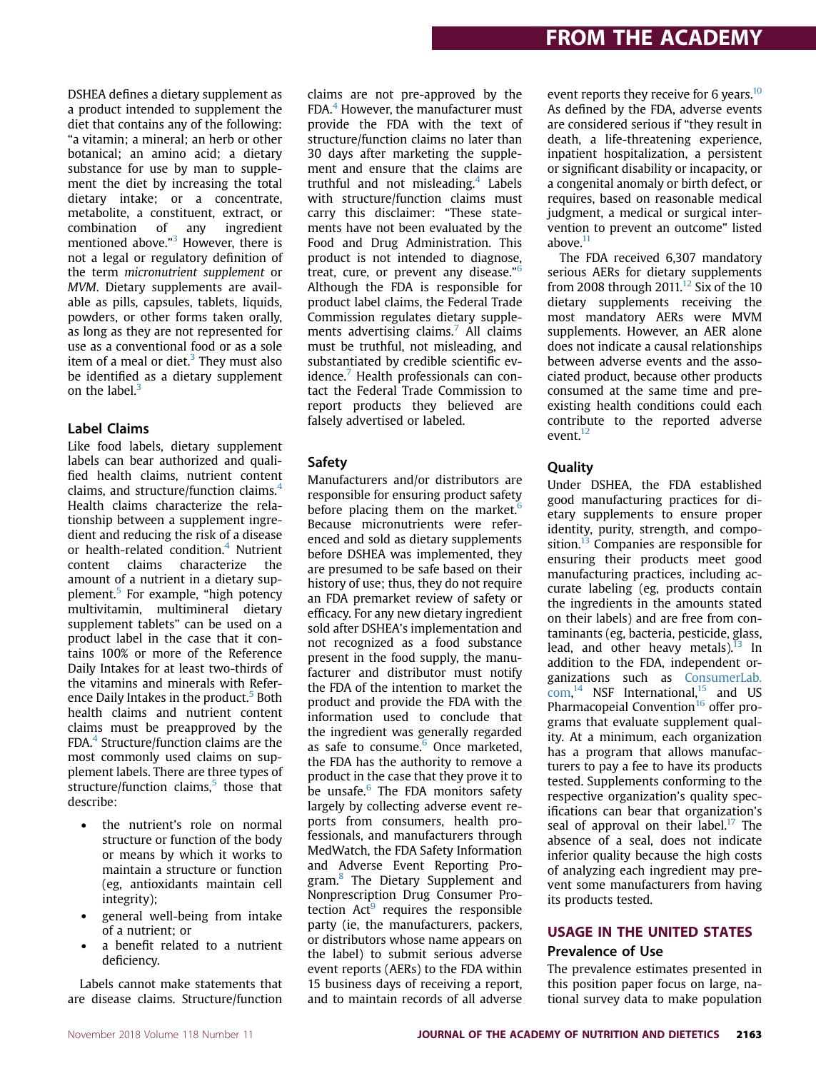DSHEA defines a dietary supplement as a product intended to supplement the diet that contains any of the following: "a vitamin; a mineral; an herb or other botanical; an amino acid; a dietary substance for use by man to supplement the diet by increasing the total dietary intake; or a concentrate, metabolite, a constituent, extract, or combination of any ingredient mentioned above."<sup>3</sup> However, there is not a legal or regulatory definition of the term micronutrient supplement or MVM. Dietary supplements are available as pills, capsules, tablets, liquids, powders, or other forms taken orally, as long as they are not represented for use as a conventional food or as a sole item of a meal or diet. $3$  They must also be identified as a dietary supplement on the label. $3$ 

### Label Claims

Like food labels, dietary supplement labels can bear authorized and qualified health claims, nutrient content claims, and structure/function claims.<sup>4</sup> Health claims characterize the relationship between a supplement ingredient and reducing the risk of a disease or health-related condition.<sup>4</sup> Nutrient content claims characterize the amount of a nutrient in a dietary supplement.5 For example, "high potency multivitamin, multimineral dietary supplement tablets" can be used on a product label in the case that it contains 100% or more of the Reference Daily Intakes for at least two-thirds of the vitamins and minerals with Reference Daily Intakes in the product.<sup>5</sup> Both health claims and nutrient content claims must be preapproved by the FDA.4 Structure/function claims are the most commonly used claims on supplement labels. There are three types of structure/function claims, $5$  those that describe:

- the nutrient's role on normal structure or function of the body or means by which it works to maintain a structure or function (eg, antioxidants maintain cell integrity);
- general well-being from intake of a nutrient; or
- a benefit related to a nutrient deficiency.

Labels cannot make statements that are disease claims. Structure/function claims are not pre-approved by the FDA. $4$  However, the manufacturer must provide the FDA with the text of structure/function claims no later than 30 days after marketing the supplement and ensure that the claims are truthful and not misleading.<sup>4</sup> Labels with structure/function claims must carry this disclaimer: "These statements have not been evaluated by the Food and Drug Administration. This product is not intended to diagnose, treat, cure, or prevent any disease."<sup>6</sup> Although the FDA is responsible for product label claims, the Federal Trade Commission regulates dietary supplements advertising claims.<sup>7</sup> All claims must be truthful, not misleading, and substantiated by credible scientific evidence. $<sup>7</sup>$  Health professionals can con-</sup> tact the Federal Trade Commission to report products they believed are falsely advertised or labeled.

### Safety

Manufacturers and/or distributors are responsible for ensuring product safety before placing them on the market. $6$ Because micronutrients were referenced and sold as dietary supplements before DSHEA was implemented, they are presumed to be safe based on their history of use; thus, they do not require an FDA premarket review of safety or efficacy. For any new dietary ingredient sold after DSHEA's implementation and not recognized as a food substance present in the food supply, the manufacturer and distributor must notify the FDA of the intention to market the product and provide the FDA with the information used to conclude that the ingredient was generally regarded as safe to consume. $6$  Once marketed, the FDA has the authority to remove a product in the case that they prove it to be unsafe.<sup>6</sup> The FDA monitors safety largely by collecting adverse event reports from consumers, health professionals, and manufacturers through MedWatch, the FDA Safety Information and Adverse Event Reporting Program.<sup>8</sup> The Dietary Supplement and Nonprescription Drug Consumer Protection  $Act^9$  requires the responsible party (ie, the manufacturers, packers, or distributors whose name appears on the label) to submit serious adverse event reports (AERs) to the FDA within 15 business days of receiving a report, and to maintain records of all adverse

event reports they receive for 6 years.<sup>10</sup> As defined by the FDA, adverse events are considered serious if "they result in death, a life-threatening experience, inpatient hospitalization, a persistent or significant disability or incapacity, or a congenital anomaly or birth defect, or requires, based on reasonable medical judgment, a medical or surgical intervention to prevent an outcome" listed above. $11$ 

The FDA received 6,307 mandatory serious AERs for dietary supplements from 2008 through 2011.<sup>12</sup> Six of the 10 dietary supplements receiving the most mandatory AERs were MVM supplements. However, an AER alone does not indicate a causal relationships between adverse events and the associated product, because other products consumed at the same time and preexisting health conditions could each contribute to the reported adverse event.12

### Quality

Under DSHEA, the FDA established good manufacturing practices for dietary supplements to ensure proper identity, purity, strength, and composition.<sup>13</sup> Companies are responsible for ensuring their products meet good manufacturing practices, including accurate labeling (eg, products contain the ingredients in the amounts stated on their labels) and are free from contaminants (eg, bacteria, pesticide, glass, lead, and other heavy metals). $^{13}$  In addition to the FDA, independent organizations such as ConsumerLab.  $com<sup>14</sup>$  NSF International,<sup>15</sup> and US Pharmacopeial Convention<sup>16</sup> offer programs that evaluate supplement quality. At a minimum, each organization has a program that allows manufacturers to pay a fee to have its products tested. Supplements conforming to the respective organization's quality specifications can bear that organization's seal of approval on their label.<sup>17</sup> The absence of a seal, does not indicate inferior quality because the high costs of analyzing each ingredient may prevent some manufacturers from having its products tested.

## USAGE IN THE UNITED STATES Prevalence of Use

The prevalence estimates presented in this position paper focus on large, national survey data to make population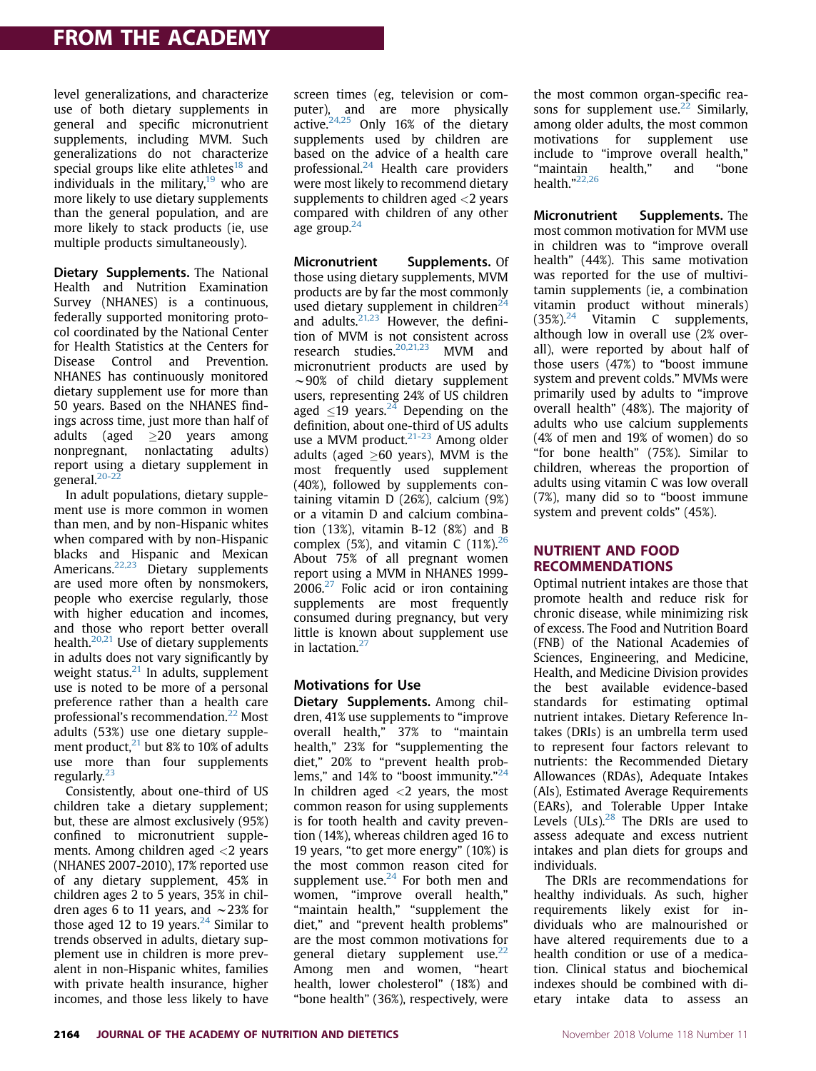level generalizations, and characterize use of both dietary supplements in general and specific micronutrient supplements, including MVM. Such generalizations do not characterize special groups like elite athletes<sup>18</sup> and individuals in the military, $19$  who are more likely to use dietary supplements than the general population, and are more likely to stack products (ie, use multiple products simultaneously).

Dietary Supplements. The National Health and Nutrition Examination Survey (NHANES) is a continuous, federally supported monitoring protocol coordinated by the National Center for Health Statistics at the Centers for Disease Control and Prevention. NHANES has continuously monitored dietary supplement use for more than 50 years. Based on the NHANES findings across time, just more than half of adults (aged  $\geq$ 20 years among<br>nonpregnant, nonlactating adults) nonpregnant, nonlactating report using a dietary supplement in general.<sup>20-22</sup>

In adult populations, dietary supplement use is more common in women than men, and by non-Hispanic whites when compared with by non-Hispanic blacks and Hispanic and Mexican Americans.<sup>22,23</sup> Dietary supplements are used more often by nonsmokers, people who exercise regularly, those with higher education and incomes, and those who report better overall health.<sup>20,21</sup> Use of dietary supplements in adults does not vary significantly by weight status. $21$  In adults, supplement use is noted to be more of a personal preference rather than a health care professional's recommendation.<sup>22</sup> Most adults (53%) use one dietary supplement product, $^{21}$  but 8% to 10% of adults use more than four supplements regularly.<sup>23</sup>

Consistently, about one-third of US children take a dietary supplement; but, these are almost exclusively (95%) confined to micronutrient supplements. Among children aged <2 years (NHANES 2007-2010), 17% reported use of any dietary supplement, 45% in children ages 2 to 5 years, 35% in children ages 6 to 11 years, and  $\sim$  23% for those aged 12 to 19 years.<sup>24</sup> Similar to trends observed in adults, dietary supplement use in children is more prevalent in non-Hispanic whites, families with private health insurance, higher incomes, and those less likely to have screen times (eg, television or computer), and are more physically active.24,25 Only 16% of the dietary supplements used by children are based on the advice of a health care professional. $^{24}$  Health care providers were most likely to recommend dietary supplements to children aged <2 years compared with children of any other age group.<sup>24</sup>

Micronutrient Supplements. Of those using dietary supplements, MVM products are by far the most commonly used dietary supplement in children<sup>24</sup> and adults. $21,23$  However, the definition of MVM is not consistent across research studies.<sup>20,21,23</sup> MVM and micronutrient products are used by  $\sim$ 90% of child dietary supplement users, representing 24% of US children aged  $\leq$ 19 years.<sup>24</sup> Depending on the definition, about one-third of US adults use a MVM product.<sup>21-23</sup> Among older adults (aged  $\geq 60$  years), MVM is the most frequently used supplement (40%), followed by supplements containing vitamin D (26%), calcium (9%) or a vitamin D and calcium combination (13%), vitamin B-12 (8%) and B complex (5%), and vitamin C  $(11\%)^{26}$ About 75% of all pregnant women report using a MVM in NHANES 1999-  $2006.<sup>27</sup>$  Folic acid or iron containing supplements are most frequently consumed during pregnancy, but very little is known about supplement use in lactation.<sup>27</sup>

#### Motivations for Use

Dietary Supplements. Among children, 41% use supplements to "improve overall health," 37% to "maintain health," 23% for "supplementing the diet," 20% to "prevent health problems," and 14% to "boost immunity."<sup>24</sup> In children aged  $\langle 2 \rangle$  years, the most common reason for using supplements is for tooth health and cavity prevention (14%), whereas children aged 16 to 19 years, "to get more energy" (10%) is the most common reason cited for supplement use. $24$  For both men and women, "improve overall health," "maintain health," "supplement the diet," and "prevent health problems" are the most common motivations for general dietary supplement use.<sup>22</sup> Among men and women, "heart health, lower cholesterol" (18%) and "bone health" (36%), respectively, were the most common organ-specific reasons for supplement use.<sup>22</sup> Similarly, among older adults, the most common motivations for supplement use include to "improve overall health," "maintain health," and "bone health."<sup>22,26</sup>

Micronutrient Supplements. The most common motivation for MVM use in children was to "improve overall health" (44%). This same motivation was reported for the use of multivitamin supplements (ie, a combination vitamin product without minerals)  $(35\%)^{24}$  Vitamin C supplements, although low in overall use (2% overall), were reported by about half of those users (47%) to "boost immune system and prevent colds." MVMs were primarily used by adults to "improve overall health" (48%). The majority of adults who use calcium supplements (4% of men and 19% of women) do so "for bone health" (75%). Similar to children, whereas the proportion of adults using vitamin C was low overall (7%), many did so to "boost immune system and prevent colds" (45%).

#### **NUTRIENT AND FOOD RECOMMENDATIONS**

RECOMMENDATIONS Optimal nutrient intakes are those that promote health and reduce risk for chronic disease, while minimizing risk of excess. The Food and Nutrition Board (FNB) of the National Academies of Sciences, Engineering, and Medicine, Health, and Medicine Division provides the best available evidence-based standards for estimating optimal nutrient intakes. Dietary Reference Intakes (DRIs) is an umbrella term used to represent four factors relevant to nutrients: the Recommended Dietary Allowances (RDAs), Adequate Intakes (AIs), Estimated Average Requirements (EARs), and Tolerable Upper Intake Levels  $(ULs).^{28}$  The DRIs are used to assess adequate and excess nutrient intakes and plan diets for groups and individuals.

The DRIs are recommendations for healthy individuals. As such, higher requirements likely exist for individuals who are malnourished or have altered requirements due to a health condition or use of a medication. Clinical status and biochemical indexes should be combined with dietary intake data to assess an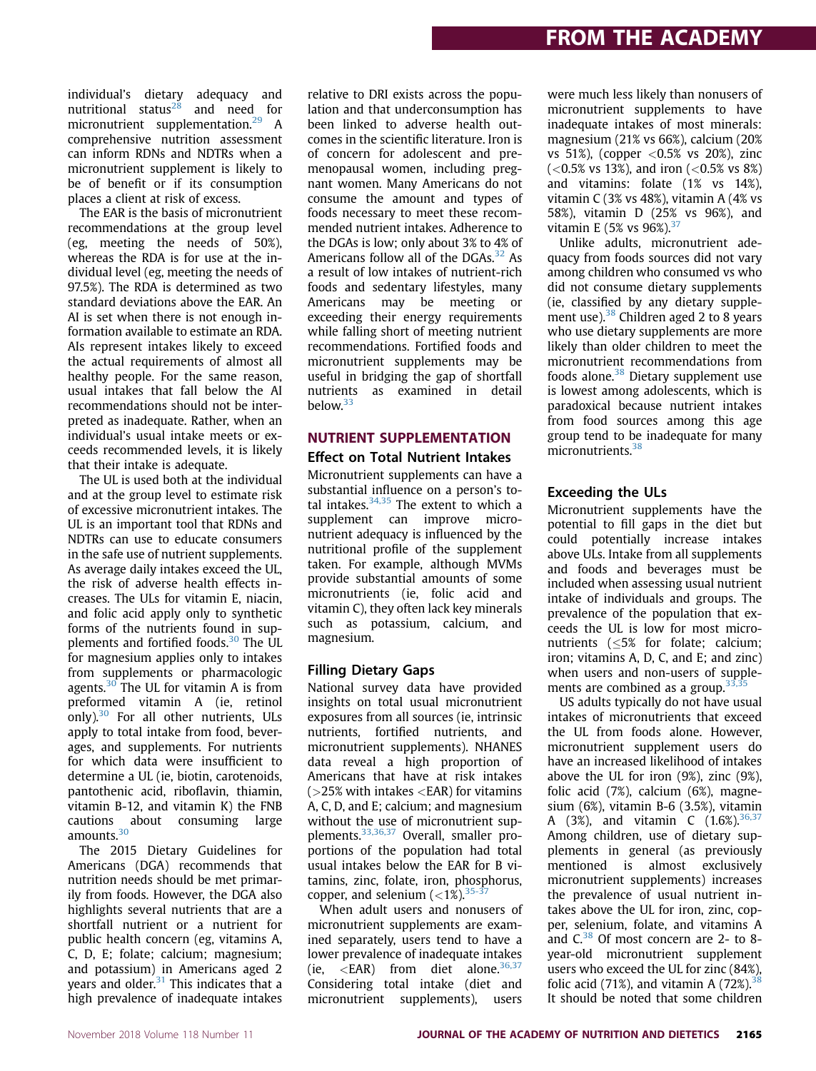individual's dietary adequacy and nutritional status<sup>28</sup> and need for micronutrient supplementation.<sup>29</sup> A comprehensive nutrition assessment can inform RDNs and NDTRs when a micronutrient supplement is likely to be of benefit or if its consumption places a client at risk of excess.

The EAR is the basis of micronutrient recommendations at the group level (eg, meeting the needs of 50%), whereas the RDA is for use at the individual level (eg, meeting the needs of 97.5%). The RDA is determined as two standard deviations above the EAR. An AI is set when there is not enough information available to estimate an RDA. AIs represent intakes likely to exceed the actual requirements of almost all healthy people. For the same reason, usual intakes that fall below the AI recommendations should not be interpreted as inadequate. Rather, when an individual's usual intake meets or exceeds recommended levels, it is likely that their intake is adequate.

The UL is used both at the individual and at the group level to estimate risk of excessive micronutrient intakes. The UL is an important tool that RDNs and NDTRs can use to educate consumers in the safe use of nutrient supplements. As average daily intakes exceed the UL, the risk of adverse health effects increases. The ULs for vitamin E, niacin, and folic acid apply only to synthetic forms of the nutrients found in supplements and fortified foods.<sup>30</sup> The UL for magnesium applies only to intakes from supplements or pharmacologic agents. $30$  The UL for vitamin A is from preformed vitamin A (ie, retinol only).<sup>30</sup> For all other nutrients, ULs apply to total intake from food, beverages, and supplements. For nutrients for which data were insufficient to determine a UL (ie, biotin, carotenoids, pantothenic acid, riboflavin, thiamin, vitamin B-12, and vitamin K) the FNB cautions about consuming large amounts.<sup>30</sup>

The 2015 Dietary Guidelines for Americans (DGA) recommends that nutrition needs should be met primarily from foods. However, the DGA also highlights several nutrients that are a shortfall nutrient or a nutrient for public health concern (eg, vitamins A, C, D, E; folate; calcium; magnesium; and potassium) in Americans aged 2 years and older. $31$  This indicates that a high prevalence of inadequate intakes

relative to DRI exists across the population and that underconsumption has been linked to adverse health outcomes in the scientific literature. Iron is of concern for adolescent and premenopausal women, including pregnant women. Many Americans do not consume the amount and types of foods necessary to meet these recommended nutrient intakes. Adherence to the DGAs is low; only about 3% to 4% of Americans follow all of the  $D<sub>G</sub>As.$ <sup>32</sup> As a result of low intakes of nutrient-rich foods and sedentary lifestyles, many Americans may be meeting or exceeding their energy requirements while falling short of meeting nutrient recommendations. Fortified foods and micronutrient supplements may be useful in bridging the gap of shortfall nutrients as examined in detail below.33

## NUTRIENT SUPPLEMENTATION Effect on Total Nutrient Intakes

Micronutrient supplements can have a substantial influence on a person's total intakes. $34,35$  The extent to which a supplement can improve micronutrient adequacy is influenced by the nutritional profile of the supplement taken. For example, although MVMs provide substantial amounts of some micronutrients (ie, folic acid and vitamin C), they often lack key minerals such as potassium, calcium, and magnesium.

### Filling Dietary Gaps

National survey data have provided insights on total usual micronutrient exposures from all sources (ie, intrinsic nutrients, fortified nutrients, and micronutrient supplements). NHANES data reveal a high proportion of Americans that have at risk intakes  $(>25\%$  with intakes  $<$ EAR) for vitamins A, C, D, and E; calcium; and magnesium without the use of micronutrient supplements.33,36,37 Overall, smaller proportions of the population had total usual intakes below the EAR for B vitamins, zinc, folate, iron, phosphorus, copper, and selenium  $\left($  < 1%).<sup>35-3</sup>

When adult users and nonusers of micronutrient supplements are examined separately, users tend to have a lower prevalence of inadequate intakes (ie,  $\langle EAR \rangle$  from diet alone.<sup>36,37</sup> Considering total intake (diet and micronutrient supplements), users

were much less likely than nonusers of micronutrient supplements to have inadequate intakes of most minerals: magnesium (21% vs 66%), calcium (20% vs 51%), (copper  $< 0.5$ % vs 20%), zinc  $(<0.5\%$  vs 13%), and iron  $(<0.5\%$  vs 8%) and vitamins: folate (1% vs 14%), vitamin C (3% vs 48%), vitamin A (4% vs 58%), vitamin D (25% vs 96%), and vitamin E (5% vs 96%). 37

Unlike adults, micronutrient adequacy from foods sources did not vary among children who consumed vs who did not consume dietary supplements (ie, classified by any dietary supplement use). $38$  Children aged 2 to 8 years who use dietary supplements are more likely than older children to meet the micronutrient recommendations from foods alone.<sup>38</sup> Dietary supplement use is lowest among adolescents, which is paradoxical because nutrient intakes from food sources among this age group tend to be inadequate for many micronutrients.<sup>38</sup>

### Exceeding the ULs

Micronutrient supplements have the potential to fill gaps in the diet but could potentially increase intakes above ULs. Intake from all supplements and foods and beverages must be included when assessing usual nutrient intake of individuals and groups. The prevalence of the population that exceeds the UL is low for most micronutrients (<5% for folate: calcium: iron; vitamins A, D, C, and E; and zinc) when users and non-users of supplements are combined as a group. $33$ 

US adults typically do not have usual intakes of micronutrients that exceed the UL from foods alone. However, micronutrient supplement users do have an increased likelihood of intakes above the UL for iron (9%), zinc (9%), folic acid (7%), calcium (6%), magnesium (6%), vitamin B-6 (3.5%), vitamin A (3%), and vitamin C (1.6%),  $36,37$ Among children, use of dietary supplements in general (as previously mentioned is almost exclusively micronutrient supplements) increases the prevalence of usual nutrient intakes above the UL for iron, zinc, copper, selenium, folate, and vitamins A and  $C^{38}$  Of most concern are 2- to 8year-old micronutrient supplement users who exceed the UL for zinc (84%), folic acid (71%), and vitamin A (72%).<sup>38</sup> It should be noted that some children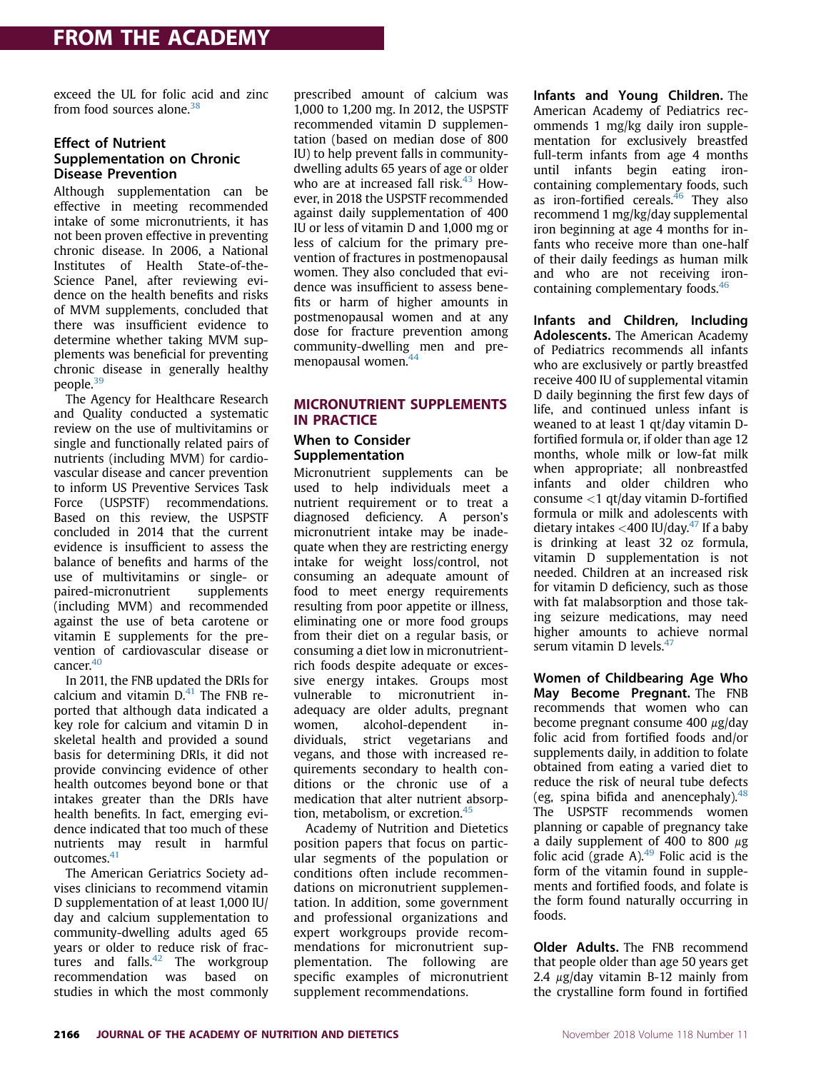exceed the UL for folic acid and zinc from food sources alone.<sup>38</sup>

#### Effect of Nutrient Supplementation on Chronic Disease Prevention

Although supplementation can be effective in meeting recommended intake of some micronutrients, it has not been proven effective in preventing chronic disease. In 2006, a National Institutes of Health State-of-the-Science Panel, after reviewing evidence on the health benefits and risks of MVM supplements, concluded that there was insufficient evidence to determine whether taking MVM supplements was beneficial for preventing chronic disease in generally healthy people.<sup>39</sup>

The Agency for Healthcare Research and Quality conducted a systematic review on the use of multivitamins or single and functionally related pairs of nutrients (including MVM) for cardiovascular disease and cancer prevention to inform US Preventive Services Task Force (USPSTF) recommendations. Based on this review, the USPSTF concluded in 2014 that the current evidence is insufficient to assess the balance of benefits and harms of the use of multivitamins or single- or paired-micronutrient supplements (including MVM) and recommended against the use of beta carotene or vitamin E supplements for the prevention of cardiovascular disease or cancer.<sup>40</sup>

In 2011, the FNB updated the DRIs for calcium and vitamin  $D<sup>41</sup>$ . The FNB reported that although data indicated a key role for calcium and vitamin D in skeletal health and provided a sound basis for determining DRIs, it did not provide convincing evidence of other health outcomes beyond bone or that intakes greater than the DRIs have health benefits. In fact, emerging evidence indicated that too much of these nutrients may result in harmful outcomes.<sup>41</sup>

The American Geriatrics Society advises clinicians to recommend vitamin D supplementation of at least 1,000 IU/ day and calcium supplementation to community-dwelling adults aged 65 years or older to reduce risk of fractures and  $falls<sup>42</sup>$  The workgroup recommendation was based on studies in which the most commonly

prescribed amount of calcium was 1,000 to 1,200 mg. In 2012, the USPSTF recommended vitamin D supplementation (based on median dose of 800 IU) to help prevent falls in communitydwelling adults 65 years of age or older who are at increased fall risk. $43$  However, in 2018 the USPSTF recommended against daily supplementation of 400 IU or less of vitamin D and 1,000 mg or less of calcium for the primary prevention of fractures in postmenopausal women. They also concluded that evidence was insufficient to assess benefits or harm of higher amounts in postmenopausal women and at any dose for fracture prevention among community-dwelling men and premenopausal women.<sup>44</sup>

# MICRONUTRIENT SUPPLEMENTS<br>IN PRACTICE

### When to Consider Supplementation

Micronutrient supplements can be used to help individuals meet a nutrient requirement or to treat a diagnosed deficiency. A person's micronutrient intake may be inadequate when they are restricting energy intake for weight loss/control, not consuming an adequate amount of food to meet energy requirements resulting from poor appetite or illness, eliminating one or more food groups from their diet on a regular basis, or consuming a diet low in micronutrientrich foods despite adequate or excessive energy intakes. Groups most vulnerable to micronutrient inadequacy are older adults, pregnant women, alcohol-dependent individuals, strict vegetarians and vegans, and those with increased requirements secondary to health conditions or the chronic use of a medication that alter nutrient absorption, metabolism, or excretion.45

Academy of Nutrition and Dietetics position papers that focus on particular segments of the population or conditions often include recommendations on micronutrient supplementation. In addition, some government and professional organizations and expert workgroups provide recommendations for micronutrient supplementation. The following are specific examples of micronutrient supplement recommendations.

Infants and Young Children. The American Academy of Pediatrics recommends 1 mg/kg daily iron supplementation for exclusively breastfed full-term infants from age 4 months until infants begin eating ironcontaining complementary foods, such as iron-fortified cereals.<sup>46</sup> They also recommend 1 mg/kg/day supplemental iron beginning at age 4 months for infants who receive more than one-half of their daily feedings as human milk and who are not receiving ironcontaining complementary foods.<sup>46</sup>

Infants and Children, Including Adolescents. The American Academy of Pediatrics recommends all infants who are exclusively or partly breastfed receive 400 IU of supplemental vitamin D daily beginning the first few days of life, and continued unless infant is weaned to at least 1 qt/day vitamin Dfortified formula or, if older than age 12 months, whole milk or low-fat milk when appropriate; all nonbreastfed infants and older children who consume <1 qt/day vitamin D-fortified formula or milk and adolescents with dietary intakes  $<$ 400 IU/day.<sup>47</sup> If a baby is drinking at least 32 oz formula, vitamin D supplementation is not needed. Children at an increased risk for vitamin D deficiency, such as those with fat malabsorption and those taking seizure medications, may need higher amounts to achieve normal serum vitamin D levels. $47$ 

Women of Childbearing Age Who May Become Pregnant. The FNB recommends that women who can become pregnant consume 400  $\mu$ g/day folic acid from fortified foods and/or supplements daily, in addition to folate obtained from eating a varied diet to reduce the risk of neural tube defects (eg, spina bifida and anencephaly).  $48$ The USPSTF recommends women planning or capable of pregnancy take a daily supplement of 400 to 800  $\mu$ g folic acid (grade A). $49$  Folic acid is the form of the vitamin found in supplements and fortified foods, and folate is the form found naturally occurring in foods.

Older Adults. The FNB recommend that people older than age 50 years get 2.4  $\mu$ g/day vitamin B-12 mainly from the crystalline form found in fortified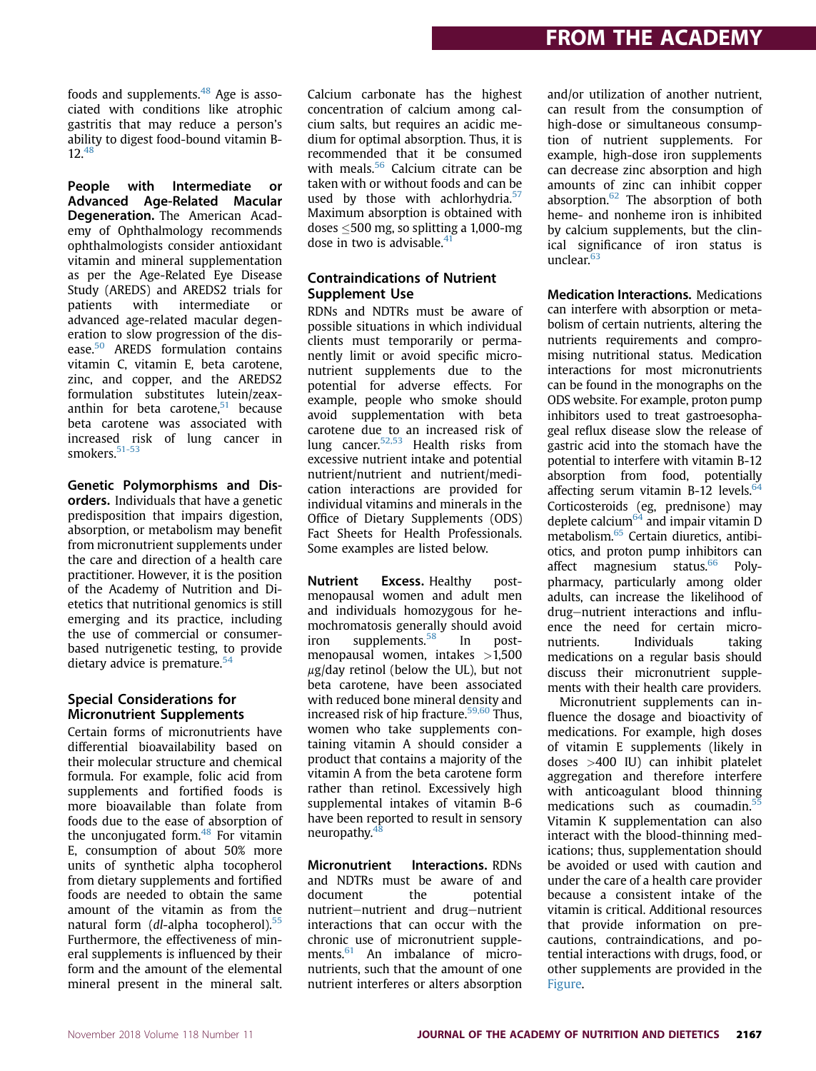foods and supplements.  $48$  Age is associated with conditions like atrophic gastritis that may reduce a person's ability to digest food-bound vitamin B-12.<sup>48</sup>

People with Intermediate or Advanced Age-Related Macular Degeneration. The American Academy of Ophthalmology recommends ophthalmologists consider antioxidant vitamin and mineral supplementation as per the Age-Related Eye Disease Study (AREDS) and AREDS2 trials for patients with intermediate or advanced age-related macular degeneration to slow progression of the disease.<sup>50</sup> AREDS formulation contains vitamin C, vitamin E, beta carotene, zinc, and copper, and the AREDS2 formulation substitutes lutein/zeaxanthin for beta carotene, $51$  because beta carotene was associated with increased risk of lung cancer in smokers.<sup>51-53</sup>

Genetic Polymorphisms and Disorders. Individuals that have a genetic predisposition that impairs digestion, absorption, or metabolism may benefit from micronutrient supplements under the care and direction of a health care practitioner. However, it is the position of the Academy of Nutrition and Dietetics that nutritional genomics is still emerging and its practice, including the use of commercial or consumerbased nutrigenetic testing, to provide dietary advice is premature.<sup>54</sup>

#### Special Considerations for Micronutrient Supplements

Certain forms of micronutrients have differential bioavailability based on their molecular structure and chemical formula. For example, folic acid from supplements and fortified foods is more bioavailable than folate from foods due to the ease of absorption of the unconjugated form.<sup>48</sup> For vitamin E, consumption of about 50% more units of synthetic alpha tocopherol from dietary supplements and fortified foods are needed to obtain the same amount of the vitamin as from the natural form (dl-alpha tocopherol). $55$ Furthermore, the effectiveness of mineral supplements is influenced by their form and the amount of the elemental mineral present in the mineral salt. Calcium carbonate has the highest concentration of calcium among calcium salts, but requires an acidic medium for optimal absorption. Thus, it is recommended that it be consumed with meals. $56$  Calcium citrate can be taken with or without foods and can be used by those with achlorhydria. $57$ Maximum absorption is obtained with doses  $<$  500 mg, so splitting a 1,000-mg dose in two is advisable.<sup>41</sup>

### Contraindications of Nutrient Supplement Use

RDNs and NDTRs must be aware of possible situations in which individual clients must temporarily or permanently limit or avoid specific micronutrient supplements due to the potential for adverse effects. For example, people who smoke should avoid supplementation with beta carotene due to an increased risk of lung cancer.<sup>52,53</sup> Health risks from excessive nutrient intake and potential nutrient/nutrient and nutrient/medication interactions are provided for individual vitamins and minerals in the Office of Dietary Supplements (ODS) Fact Sheets for Health Professionals. Some examples are listed below.

Nutrient Excess. Healthy postmenopausal women and adult men and individuals homozygous for hemochromatosis generally should avoid iron supplements.<sup>58</sup> In postmenopausal women, intakes  $>1,500$  $\mu$ g/day retinol (below the UL), but not beta carotene, have been associated with reduced bone mineral density and increased risk of hip fracture. $59,60$  Thus, women who take supplements containing vitamin A should consider a product that contains a majority of the vitamin A from the beta carotene form rather than retinol. Excessively high supplemental intakes of vitamin B-6 have been reported to result in sensory neuropathy.48

Micronutrient Interactions. RDNs and NDTRs must be aware of and document the potential nutrient-nutrient and drug-nutrient interactions that can occur with the chronic use of micronutrient supplements.<sup>61</sup> An imbalance of micronutrients, such that the amount of one nutrient interferes or alters absorption

and/or utilization of another nutrient, can result from the consumption of high-dose or simultaneous consumption of nutrient supplements. For example, high-dose iron supplements can decrease zinc absorption and high amounts of zinc can inhibit copper absorption. $62$  The absorption of both heme- and nonheme iron is inhibited by calcium supplements, but the clinical significance of iron status is unclear.<sup>6</sup>

Medication Interactions. Medications can interfere with absorption or metabolism of certain nutrients, altering the nutrients requirements and compromising nutritional status. Medication interactions for most micronutrients can be found in the monographs on the ODS website. For example, proton pump inhibitors used to treat gastroesophageal reflux disease slow the release of gastric acid into the stomach have the potential to interfere with vitamin B-12 absorption from food, potentially affecting serum vitamin B-12 levels. $64$ Corticosteroids (eg, prednisone) may deplete calcium<sup> $64$ </sup> and impair vitamin D metabolism.<sup>65</sup> Certain diuretics, antibiotics, and proton pump inhibitors can affect magnesium status.<sup>66</sup> Polypharmacy, particularly among older adults, can increase the likelihood of drug-nutrient interactions and influence the need for certain micronutrients. Individuals taking medications on a regular basis should discuss their micronutrient supplements with their health care providers.

Micronutrient supplements can influence the dosage and bioactivity of medications. For example, high doses of vitamin E supplements (likely in doses >400 IU) can inhibit platelet aggregation and therefore interfere with anticoagulant blood thinning medications such as coumadin.<sup>5</sup> Vitamin K supplementation can also interact with the blood-thinning medications; thus, supplementation should be avoided or used with caution and under the care of a health care provider because a consistent intake of the vitamin is critical. Additional resources that provide information on precautions, contraindications, and potential interactions with drugs, food, or other supplements are provided in the Figure.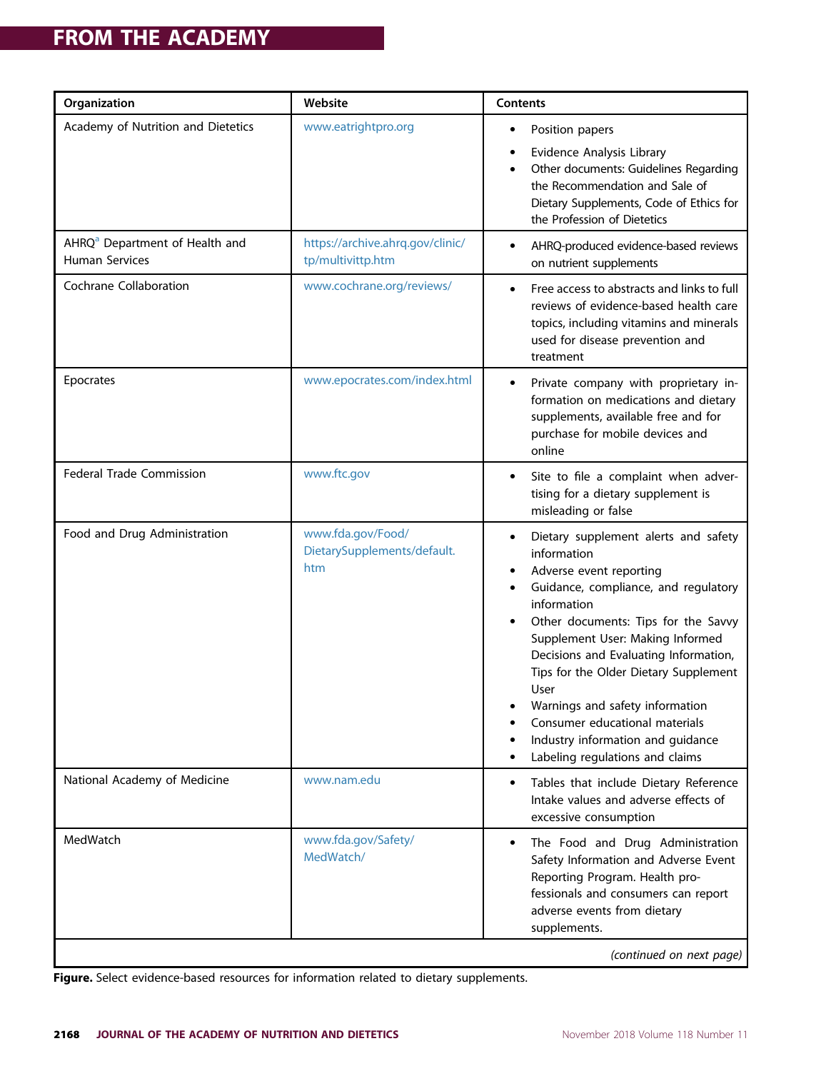| Organization                                                 | Website                                                 | Contents                                                                                                                                                                                                                                                                                                                                                                                                                                                                  |
|--------------------------------------------------------------|---------------------------------------------------------|---------------------------------------------------------------------------------------------------------------------------------------------------------------------------------------------------------------------------------------------------------------------------------------------------------------------------------------------------------------------------------------------------------------------------------------------------------------------------|
| Academy of Nutrition and Dietetics                           | www.eatrightpro.org                                     | Position papers<br>٠<br>Evidence Analysis Library<br>٠<br>Other documents: Guidelines Regarding<br>the Recommendation and Sale of<br>Dietary Supplements, Code of Ethics for<br>the Profession of Dietetics                                                                                                                                                                                                                                                               |
| AHRQ <sup>a</sup> Department of Health and<br>Human Services | https://archive.ahrq.gov/clinic/<br>tp/multivittp.htm   | AHRQ-produced evidence-based reviews<br>$\bullet$<br>on nutrient supplements                                                                                                                                                                                                                                                                                                                                                                                              |
| Cochrane Collaboration                                       | www.cochrane.org/reviews/                               | Free access to abstracts and links to full<br>$\bullet$<br>reviews of evidence-based health care<br>topics, including vitamins and minerals<br>used for disease prevention and<br>treatment                                                                                                                                                                                                                                                                               |
| Epocrates                                                    | www.epocrates.com/index.html                            | Private company with proprietary in-<br>٠<br>formation on medications and dietary<br>supplements, available free and for<br>purchase for mobile devices and<br>online                                                                                                                                                                                                                                                                                                     |
| Federal Trade Commission                                     | www.ftc.gov                                             | Site to file a complaint when adver-<br>tising for a dietary supplement is<br>misleading or false                                                                                                                                                                                                                                                                                                                                                                         |
| Food and Drug Administration                                 | www.fda.gov/Food/<br>DietarySupplements/default.<br>htm | Dietary supplement alerts and safety<br>information<br>Adverse event reporting<br>Guidance, compliance, and regulatory<br>information<br>Other documents: Tips for the Savvy<br>Supplement User: Making Informed<br>Decisions and Evaluating Information,<br>Tips for the Older Dietary Supplement<br>User<br>Warnings and safety information<br>Consumer educational materials<br>Industry information and guidance<br>٠<br>Labeling regulations and claims<br>$\bullet$ |
| National Academy of Medicine                                 | www.nam.edu                                             | Tables that include Dietary Reference<br>$\bullet$<br>Intake values and adverse effects of<br>excessive consumption                                                                                                                                                                                                                                                                                                                                                       |
| MedWatch                                                     | www.fda.gov/Safety/<br>MedWatch/                        | The Food and Drug Administration<br>$\bullet$<br>Safety Information and Adverse Event<br>Reporting Program. Health pro-<br>fessionals and consumers can report<br>adverse events from dietary<br>supplements.                                                                                                                                                                                                                                                             |
| (continued on next page)                                     |                                                         |                                                                                                                                                                                                                                                                                                                                                                                                                                                                           |

Figure. Select evidence-based resources for information related to dietary supplements.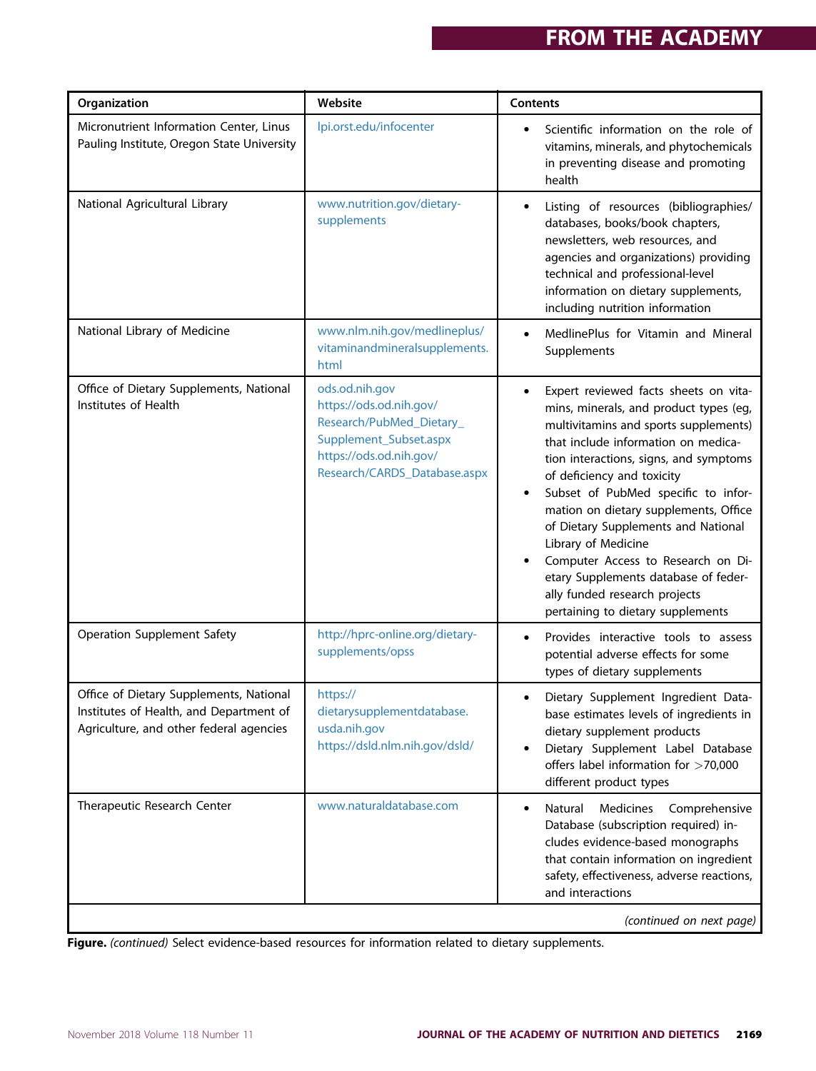| Organization                                                                                                                  | Website                                                                                                                                                    | Contents                                                                                                                                                                                                                                                                                                                                                                                                                                                                                                                                       |
|-------------------------------------------------------------------------------------------------------------------------------|------------------------------------------------------------------------------------------------------------------------------------------------------------|------------------------------------------------------------------------------------------------------------------------------------------------------------------------------------------------------------------------------------------------------------------------------------------------------------------------------------------------------------------------------------------------------------------------------------------------------------------------------------------------------------------------------------------------|
| Micronutrient Information Center, Linus<br>Pauling Institute, Oregon State University                                         | lpi.orst.edu/infocenter                                                                                                                                    | Scientific information on the role of<br>vitamins, minerals, and phytochemicals<br>in preventing disease and promoting<br>health                                                                                                                                                                                                                                                                                                                                                                                                               |
| National Agricultural Library                                                                                                 | www.nutrition.gov/dietary-<br>supplements                                                                                                                  | Listing of resources (bibliographies/<br>$\bullet$<br>databases, books/book chapters,<br>newsletters, web resources, and<br>agencies and organizations) providing<br>technical and professional-level<br>information on dietary supplements,<br>including nutrition information                                                                                                                                                                                                                                                                |
| National Library of Medicine                                                                                                  | www.nlm.nih.gov/medlineplus/<br>vitaminandmineralsupplements.<br>html                                                                                      | MedlinePlus for Vitamin and Mineral<br>$\bullet$<br>Supplements                                                                                                                                                                                                                                                                                                                                                                                                                                                                                |
| Office of Dietary Supplements, National<br>Institutes of Health                                                               | ods.od.nih.gov<br>https://ods.od.nih.gov/<br>Research/PubMed_Dietary_<br>Supplement_Subset.aspx<br>https://ods.od.nih.gov/<br>Research/CARDS_Database.aspx | Expert reviewed facts sheets on vita-<br>٠<br>mins, minerals, and product types (eg,<br>multivitamins and sports supplements)<br>that include information on medica-<br>tion interactions, signs, and symptoms<br>of deficiency and toxicity<br>Subset of PubMed specific to infor-<br>mation on dietary supplements, Office<br>of Dietary Supplements and National<br>Library of Medicine<br>Computer Access to Research on Di-<br>etary Supplements database of feder-<br>ally funded research projects<br>pertaining to dietary supplements |
| <b>Operation Supplement Safety</b>                                                                                            | http://hprc-online.org/dietary-<br>supplements/opss                                                                                                        | Provides interactive tools to assess<br>$\bullet$<br>potential adverse effects for some<br>types of dietary supplements                                                                                                                                                                                                                                                                                                                                                                                                                        |
| Office of Dietary Supplements, National<br>Institutes of Health, and Department of<br>Agriculture, and other federal agencies | https://<br>dietarysupplementdatabase.<br>usda.nih.gov<br>https://dsld.nlm.nih.gov/dsld/                                                                   | Dietary Supplement Ingredient Data-<br>$\bullet$<br>base estimates levels of ingredients in<br>dietary supplement products<br>Dietary Supplement Label Database<br>$\bullet$<br>offers label information for >70,000<br>different product types                                                                                                                                                                                                                                                                                                |
| Therapeutic Research Center                                                                                                   | www.naturaldatabase.com                                                                                                                                    | Natural<br>Medicines<br>Comprehensive<br>$\bullet$<br>Database (subscription required) in-<br>cludes evidence-based monographs<br>that contain information on ingredient<br>safety, effectiveness, adverse reactions,<br>and interactions                                                                                                                                                                                                                                                                                                      |

(continued on next page)

Figure. (continued) Select evidence-based resources for information related to dietary supplements.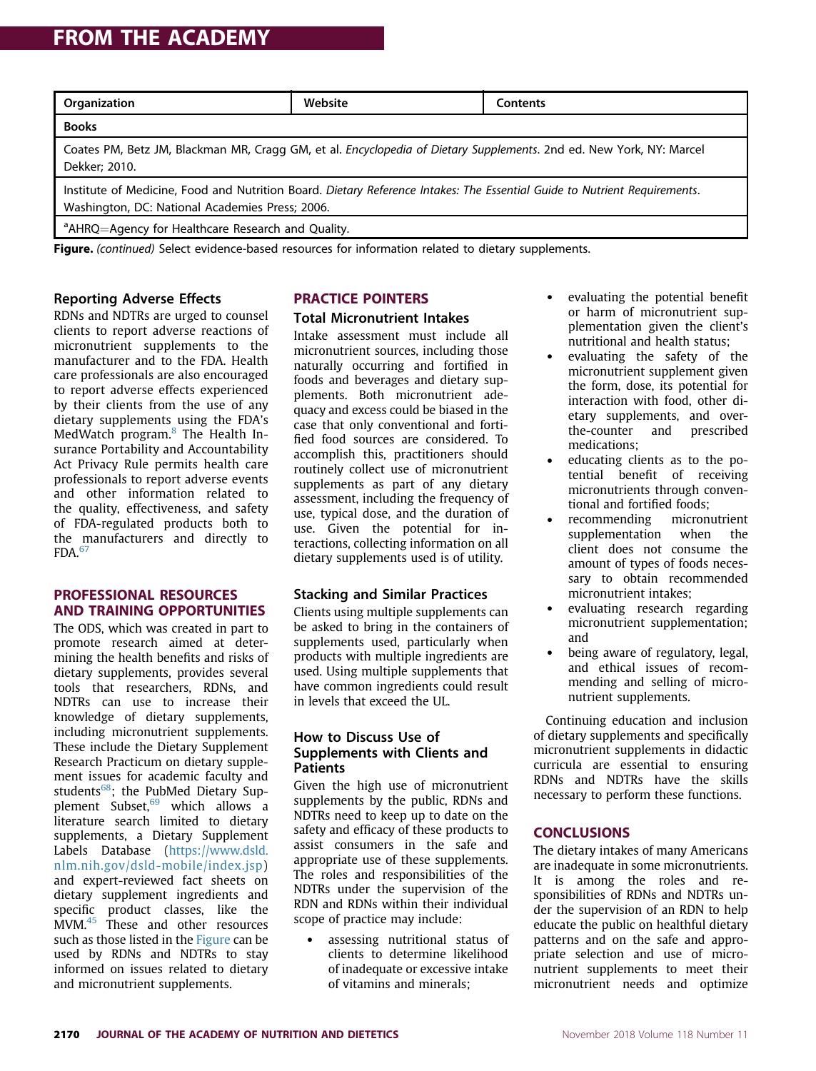### **FROM THE ACADEMY** FROM THE ACADEMY

| Organization                                                                                                                                                                 | Website | Contents |  |  |
|------------------------------------------------------------------------------------------------------------------------------------------------------------------------------|---------|----------|--|--|
| <b>Books</b>                                                                                                                                                                 |         |          |  |  |
| Coates PM, Betz JM, Blackman MR, Cragg GM, et al. Encyclopedia of Dietary Supplements. 2nd ed. New York, NY: Marcel<br>Dekker; 2010.                                         |         |          |  |  |
| Institute of Medicine, Food and Nutrition Board. Dietary Reference Intakes: The Essential Guide to Nutrient Requirements.<br>Washington, DC: National Academies Press; 2006. |         |          |  |  |
| <sup>a</sup> AHRQ=Agency for Healthcare Research and Quality.                                                                                                                |         |          |  |  |

Figure. (continued) Select evidence-based resources for information related to dietary supplements.

#### Reporting Adverse Effects

RDNs and NDTRs are urged to counsel clients to report adverse reactions of micronutrient supplements to the manufacturer and to the FDA. Health care professionals are also encouraged to report adverse effects experienced by their clients from the use of any dietary supplements using the FDA's MedWatch program.<sup>8</sup> The Health Insurance Portability and Accountability Act Privacy Rule permits health care professionals to report adverse events and other information related to the quality, effectiveness, and safety of FDA-regulated products both to the manufacturers and directly to  $FDA.<sup>67</sup>$ 

#### **PROFESSIONAL RESOURCES AND TRAINING OPPORTUNITIES**

The ODS, which was created in part to promote research aimed at determining the health benefits and risks of dietary supplements, provides several tools that researchers, RDNs, and NDTRs can use to increase their knowledge of dietary supplements, including micronutrient supplements. These include the Dietary Supplement Research Practicum on dietary supplement issues for academic faculty and students<sup>68</sup>; the PubMed Dietary Supplement Subset,<sup>69</sup> which allows a literature search limited to dietary supplements, a Dietary Supplement Labels Database (https://www.dsld. nlm.nih.gov/dsld-mobile/index.jsp) and expert-reviewed fact sheets on dietary supplement ingredients and specific product classes, like the MVM.45 These and other resources such as those listed in the Figure can be used by RDNs and NDTRs to stay informed on issues related to dietary and micronutrient supplements.

## **Total Micronutrient Intakes**

Intake assessment must include all micronutrient sources, including those naturally occurring and fortified in foods and beverages and dietary supplements. Both micronutrient adequacy and excess could be biased in the case that only conventional and fortified food sources are considered. To accomplish this, practitioners should routinely collect use of micronutrient supplements as part of any dietary assessment, including the frequency of use, typical dose, and the duration of use. Given the potential for interactions, collecting information on all dietary supplements used is of utility.

#### Stacking and Similar Practices

Clients using multiple supplements can be asked to bring in the containers of supplements used, particularly when products with multiple ingredients are used. Using multiple supplements that have common ingredients could result in levels that exceed the UL.

#### How to Discuss Use of Supplements with Clients and **Patients**

Given the high use of micronutrient supplements by the public, RDNs and NDTRs need to keep up to date on the safety and efficacy of these products to assist consumers in the safe and appropriate use of these supplements. The roles and responsibilities of the NDTRs under the supervision of the RDN and RDNs within their individual scope of practice may include:

 assessing nutritional status of clients to determine likelihood of inadequate or excessive intake of vitamins and minerals;

- evaluating the potential benefit or harm of micronutrient supplementation given the client's nutritional and health status;
- evaluating the safety of the micronutrient supplement given the form, dose, its potential for interaction with food, other dietary supplements, and overthe-counter and prescribed medications;
- educating clients as to the potential benefit of receiving micronutrients through conventional and fortified foods;
- recommending micronutrient supplementation when the client does not consume the amount of types of foods necessary to obtain recommended micronutrient intakes;
- evaluating research regarding micronutrient supplementation; and
- being aware of regulatory, legal, and ethical issues of recommending and selling of micronutrient supplements.

Continuing education and inclusion of dietary supplements and specifically micronutrient supplements in didactic curricula are essential to ensuring RDNs and NDTRs have the skills necessary to perform these functions.

#### **CONCLUSIONS**

**The dietary intakes of many Americans** are inadequate in some micronutrients. It is among the roles and responsibilities of RDNs and NDTRs under the supervision of an RDN to help educate the public on healthful dietary patterns and on the safe and appropriate selection and use of micronutrient supplements to meet their micronutrient needs and optimize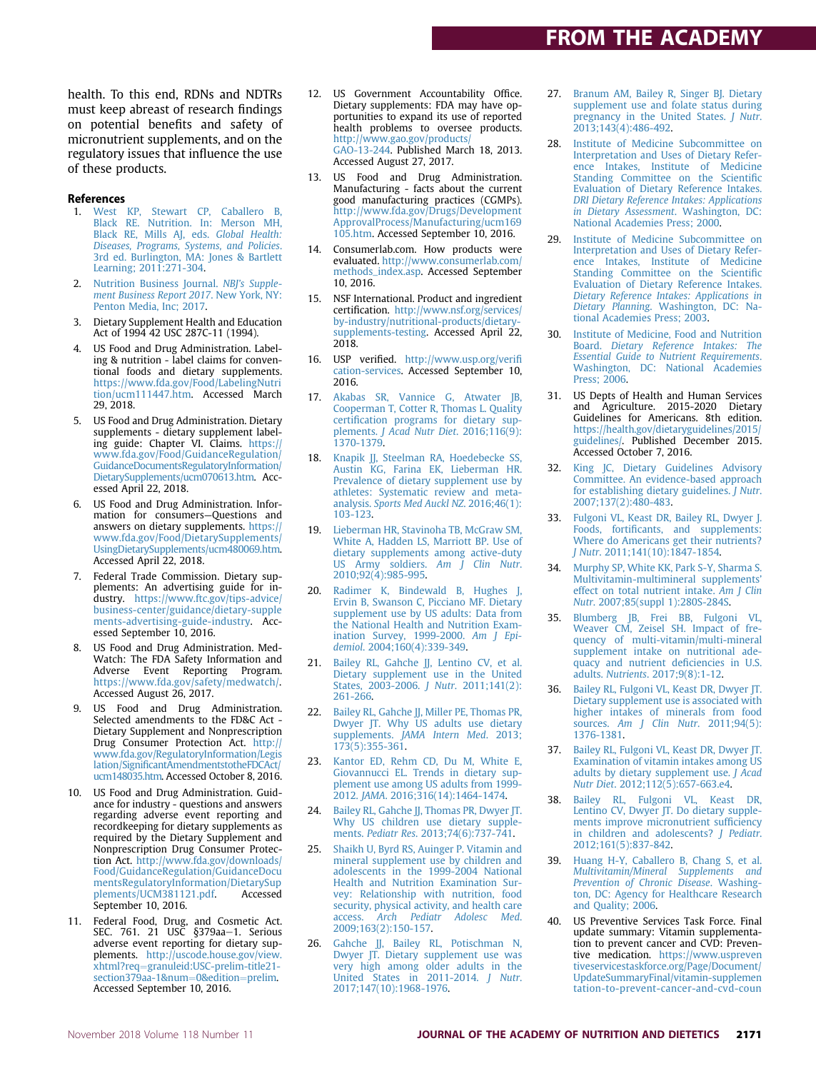health. To this end, RDNs and NDTRs must keep abreast of research findings on potential benefits and safety of micronutrient supplements, and on the regulatory issues that influence the use of these products.

#### References

- 1. West KP, Stewart CP, Caballero B, Black RE. Nutrition. In: Merson MH, Black RE, Mills AJ, eds. Global Health: Diseases, Programs, Systems, and Policies. 3rd ed. Burlington, MA: Jones & Bartlett Learning; 2011:271-304.
- 2. Nutrition Business Journal. NBJ's Supplement Business Report 2017. New York, NY: Penton Media, Inc; 2017.
- 3. Dietary Supplement Health and Education Act of 1994 42 USC 287C-11 (1994).
- US Food and Drug Administration. Labeling & nutrition - label claims for conventional foods and dietary supplements. https://www.fda.gov/Food/LabelingNutri tion/ucm111447.htm. Accessed March 29, 2018.
- 5. US Food and Drug Administration. Dietary supplements - dietary supplement labeling guide: Chapter VI. Claims. https:// www.fda.gov/Food/GuidanceRegulation/ GuidanceDocumentsRegulatoryInformation/ DietarySupplements/ucm070613.htm. Accessed April 22, 2018.
- 6. US Food and Drug Administration. Information for consumers—Questions and answers on dietary supplements. https:// www.fda.gov/Food/DietarySupplements/ UsingDietarySupplements/ucm480069.htm. Accessed April 22, 2018.
- 7. Federal Trade Commission. Dietary supplements: An advertising guide for industry. https://www.ftc.gov/tips-advice/ business-center/guidance/dietary-supple ments-advertising-guide-industry. Accessed September 10, 2016.
- 8. US Food and Drug Administration. Med-Watch: The FDA Safety Information and Adverse Event Reporting Program. https://www.fda.gov/safety/medwatch/. Accessed August 26, 2017.
- 9. US Food and Drug Administration. Selected amendments to the FD&C Act - Dietary Supplement and Nonprescription Drug Consumer Protection Act. http:// www.fda.gov/RegulatoryInformation/Legis lation/SignificantAmendmentstotheFDCAct/ ucm148035.htm. Accessed October 8, 2016.
- 10. US Food and Drug Administration. Guidance for industry - questions and answers regarding adverse event reporting and recordkeeping for dietary supplements as required by the Dietary Supplement and Nonprescription Drug Consumer Protection Act. http://www.fda.gov/downloads/ Food/GuidanceRegulation/GuidanceDocu mentsRegulatoryInformation/DietarySup plements/UCM381121.pdf. Accessed September 10, 2016.
- 11. Federal Food, Drug, and Cosmetic Act.<br>SEC. 761. 21 USC §379aa–1. Serious adverse event reporting for dietary supplements. http://uscode.house.gov/view. xhtml?req=granuleid:USC-prelim-title21section379aa-1&num=0&edition=prelim. Accessed September 10, 2016.
- 12. US Government Accountability Office. Dietary supplements: FDA may have opportunities to expand its use of reported health problems to oversee products. http://www.gao.gov/products/ GAO-13-244. Published March 18, 2013. Accessed August 27, 2017.
- 13. US Food and Drug Administration. Manufacturing - facts about the current good manufacturing practices (CGMPs). http://www.fda.gov/Drugs/Development ApprovalProcess/Manufacturing/ucm169 105.htm. Accessed September 10, 2016.
- 14. Consumerlab.com. How products were evaluated. http://www.consumerlab.com/ methods\_index.asp. Accessed September 10, 2016.
- 15. NSF International. Product and ingredient certification. http://www.nsf.org/services/ by-industry/nutritional-products/dietarysupplements-testing. Accessed April 22, 2018.
- 16. USP verified. http://www.usp.org/verifi cation-services. Accessed September 10, 2016.
- 17. Akabas SR, Vannice G, Atwater JB, Cooperman T, Cotter R, Thomas L. Quality certification programs for dietary supplements. J Acad Nutr Diet. 2016;116(9): 1370-1379.
- 18. Knapik JJ, Steelman RA, Hoedebecke SS, Austin KG, Farina EK, Lieberman HR. Prevalence of dietary supplement use by athletes: Systematic review and metaanalysis. Sports Med Auckl NZ. 2016;46(1): 103-123.
- 19. Lieberman HR, Stavinoha TB, McGraw SM, White A, Hadden LS, Marriott BP. Use of dietary supplements among active-duty US Army soldiers. Am J Clin Nutr. 2010;92(4):985-995.
- 20. Radimer K, Bindewald B, Hughes J, Ervin B, Swanson C, Picciano MF. Dietary supplement use by US adults: Data from the National Health and Nutrition Examination Survey, 1999-2000. Am J Epidemiol. 2004;160(4):339-349.
- 21. Bailey RL, Gahche JJ, Lentino CV, et al. Dietary supplement use in the United States, 2003-2006. J Nutr. 2011;141(2): 261-266.
- Bailey RL, Gahche JJ, Miller PE, Thomas PR, Dwyer JT. Why US adults use dietary supplements. JAMA Intern Med. 2013; 173(5):355-361.
- 23. Kantor ED, Rehm CD, Du M, White E, Giovannucci EL. Trends in dietary supplement use among US adults from 1999- 2012. JAMA. 2016;316(14):1464-1474.
- Bailey RL, Gahche JJ, Thomas PR, Dwyer JT. Why US children use dietary supplements. Pediatr Res. 2013;74(6):737-741.
- 25. Shaikh U, Byrd RS, Auinger P. Vitamin and mineral supplement use by children and adolescents in the 1999-2004 National Health and Nutrition Examination Survey: Relationship with nutrition, food security, physical activity, and health care access. Arch Pediatr Adolesc Med. 2009;163(2):150-157.
- 26. Gahche JJ, Bailey RL, Potischman N, Dwyer JT. Dietary supplement use was very high among older adults in the United States in 2011-2014. J Nutr. 2017;147(10):1968-1976.
- 27. Branum AM, Bailey R, Singer BJ. Dietary supplement use and folate status during pregnancy in the United States. J Nutr. 2013;143(4):486-492.
- 28. Institute of Medicine Subcommittee on Interpretation and Uses of Dietary Reference Intakes, Institute of Medicine Standing Committee on the Scientific Evaluation of Dietary Reference Intakes. DRI Dietary Reference Intakes: Applications in Dietary Assessment. Washington, DC: National Academies Press; 2000.
- 29. Institute of Medicine Subcommittee on Interpretation and Uses of Dietary Reference Intakes, Institute of Medicine Standing Committee on the Scientific Evaluation of Dietary Reference Intakes. Dietary Reference Intakes: Applications in Dietary Planning. Washington, DC: National Academies Press; 2003.
- 30. Institute of Medicine, Food and Nutrition Board. Dietary Reference Intakes: The Essential Guide to Nutrient Requirements. Washington, DC: National Academies Press; 2006.
- 31. US Depts of Health and Human Services and Agriculture. 2015-2020 Dietary Guidelines for Americans. 8th edition. https://health.gov/dietaryguidelines/2015/ guidelines/. Published December 2015. Accessed October 7, 2016.
- 32. King JC, Dietary Guidelines Advisory Committee. An evidence-based approach for establishing dietary guidelines. J Nutr. 2007;137(2):480-483.
- 33. Fulgoni VL, Keast DR, Bailey RL, Dwyer J. Foods, fortificants, and supplements: Where do Americans get their nutrients? J Nutr. 2011;141(10):1847-1854.
- 34. Murphy SP, White KK, Park S-Y, Sharma S. Multivitamin-multimineral supplements' effect on total nutrient intake. Am J Clin Nutr. 2007;85(suppl 1):280S-284S.
- 35. Blumberg JB, Frei BB, Fulgoni VL, Weaver CM, Zeisel SH. Impact of frequency of multi-vitamin/multi-mineral supplement intake on nutritional adequacy and nutrient deficiencies in U.S. adults. Nutrients. 2017;9(8):1-12.
- 36. Bailey RL, Fulgoni VL, Keast DR, Dwyer JT. Dietary supplement use is associated with higher intakes of minerals from food sources. Am J Clin Nutr. 2011;94(5): 1376-1381.
- 37. Bailey RL, Fulgoni VL, Keast DR, Dwyer JT. Examination of vitamin intakes among US adults by dietary supplement use. J Acad Nutr Diet. 2012;112(5):657-663.e4.
- 38. Bailey RL, Fulgoni VL, Keast DR, Lentino CV, Dwyer JT. Do dietary supplements improve micronutrient sufficiency in children and adolescents? J Pediatr. 2012;161(5):837-842.
- Huang H-Y, Caballero B, Chang S, et al. Multivitamin/Mineral Supplements and Prevention of Chronic Disease. Washington, DC: Agency for Healthcare Research and Quality; 2006.
- US Preventive Services Task Force. Final update summary: Vitamin supplementation to prevent cancer and CVD: Preventive medication. https://www.uspreven tiveservicestaskforce.org/Page/Document/ UpdateSummaryFinal/vitamin-supplemen tation-to-prevent-cancer-and-cvd-coun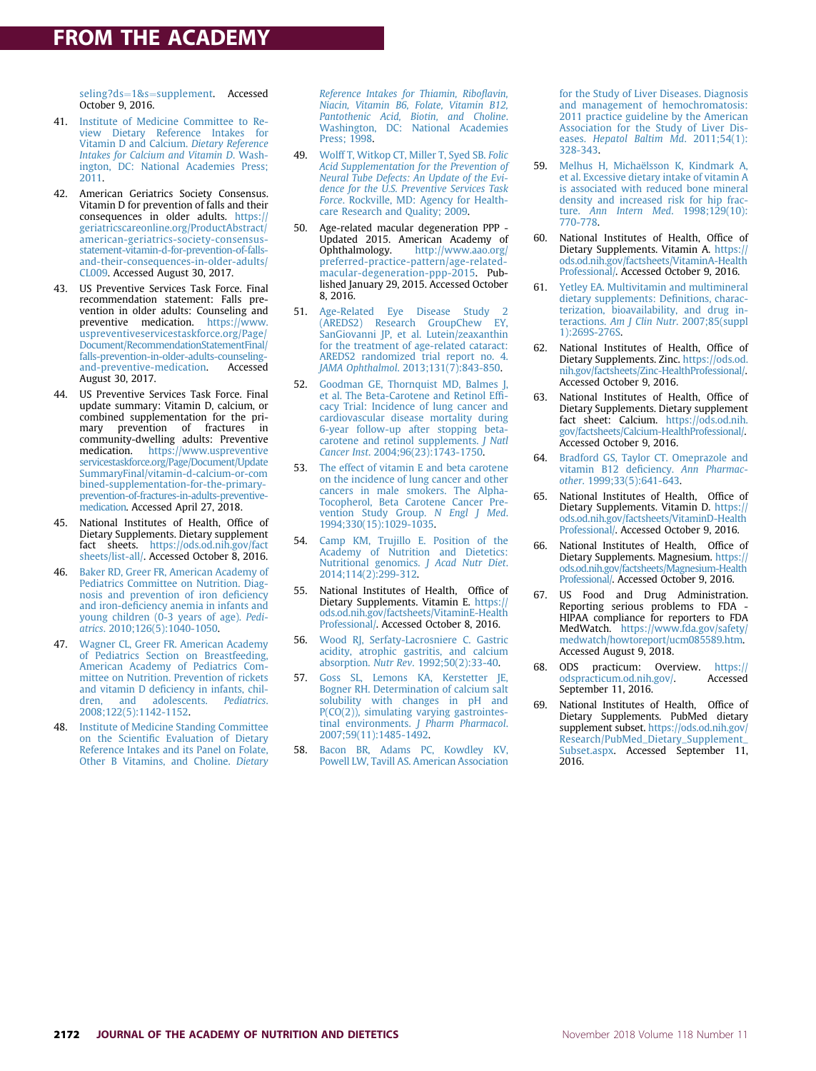seling?ds=1&s=supplement. Accessed October 9, 2016.

- 41. Institute of Medicine Committee to Review Dietary Reference Intakes for Vitamin D and Calcium. Dietary Reference Intakes for Calcium and Vitamin D. Washington, DC: National Academies Press; 2011.
- 42. American Geriatrics Society Consensus. Vitamin D for prevention of falls and their consequences in older adults. https:// geriatricscareonline.org/ProductAbstract/ american-geriatrics-society-consensusstatement-vitamin-d-for-prevention-of-fallsand-their-consequences-in-older-adults/ CL009. Accessed August 30, 2017.
- 43. US Preventive Services Task Force. Final recommendation statement: Falls prevention in older adults: Counseling and preventive medication. https://www. uspreventiveservicestaskforce.org/Page/ Document/RecommendationStatementFinal/ falls-prevention-in-older-adults-counselingand-preventive-medication. August 30, 2017.
- 44. US Preventive Services Task Force. Final update summary: Vitamin D, calcium, or combined supplementation for the primary prevention of fractures in community-dwelling adults: Preventive<br>medication. https://www.uspreventive https://www.uspreventive servicestaskforce.org/Page/Document/Update SummaryFinal/vitamin-d-calcium-or-com bined-supplementation-for-the-primaryprevention-of-fractures-in-adults-preventivemedication. Accessed April 27, 2018.
- 45. National Institutes of Health, Office of Dietary Supplements. Dietary supplement fact sheets. https://ods.od.nih.gov/fact sheets/list-all/. Accessed October 8, 2016.
- 46. Baker RD, Greer FR, American Academy of Pediatrics Committee on Nutrition. Diagnosis and prevention of iron deficiency and iron-deficiency anemia in infants and young children (0-3 years of age). Pediatrics. 2010;126(5):1040-1050.
- 47. Wagner CL, Greer FR. American Academy of Pediatrics Section on Breastfeeding, American Academy of Pediatrics Committee on Nutrition. Prevention of rickets and vitamin D deficiency in infants, children, and adolescents. Pediatrics. 2008;122(5):1142-1152.
- 48. Institute of Medicine Standing Committee on the Scientific Evaluation of Dietary Reference Intakes and its Panel on Folate, Other B Vitamins, and Choline. Dietary

Reference Intakes for Thiamin, Riboflavin, Niacin, Vitamin B6, Folate, Vitamin B12, Pantothenic Acid, Biotin, and Choline. Washington, DC: National Academies Press; 1998.

- 49. Wolff T, Witkop CT, Miller T, Syed SB. Folic Acid Supplementation for the Prevention of Neural Tube Defects: An Update of the Evidence for the U.S. Preventive Services Task Force. Rockville, MD: Agency for Healthcare Research and Quality; 2009.
- 50. Age-related macular degeneration PPP Updated 2015. American Academy of<br>Ophthalmology. http://www.aao.org/ http://www.aao.org/ preferred-practice-pattern/age-relatedmacular-degeneration-ppp-2015. Published January 29, 2015. Accessed October 8, 2016.
- 51. Age-Related Eye Disease Study 2 (AREDS2) Research GroupChew EY, SanGiovanni JP, et al. Lutein/zeaxanthin for the treatment of age-related cataract: AREDS2 randomized trial report no. 4. JAMA Ophthalmol. 2013;131(7):843-850.
- 52. Goodman GE, Thornquist MD, Balmes J, et al. The Beta-Carotene and Retinol Efficacy Trial: Incidence of lung cancer and cardiovascular disease mortality during 6-year follow-up after stopping betacarotene and retinol supplements. J Natl Cancer Inst. 2004;96(23):1743-1750.
- 53. The effect of vitamin E and beta carotene on the incidence of lung cancer and other cancers in male smokers. The Alpha-Tocopherol, Beta Carotene Cancer Prevention Study Group. N Engl J Med. 1994;330(15):1029-1035.
- 54. Camp KM, Trujillo E. Position of the Academy of Nutrition and Dietetics: Nutritional genomics. J Acad Nutr Diet. 2014;114(2):299-312.
- 55. National Institutes of Health, Office of Dietary Supplements. Vitamin E. https:// ods.od.nih.gov/factsheets/VitaminE-Health Professional/. Accessed October 8, 2016.
- 56. Wood RJ, Serfaty-Lacrosniere C. Gastric acidity, atrophic gastritis, and calcium absorption. Nutr Rev. 1992;50(2):33-40.
- 57. Goss SL, Lemons KA, Kerstetter JE, Bogner RH. Determination of calcium salt solubility with changes in pH and P(CO(2)), simulating varying gastrointestinal environments. J Pharm Pharmacol. 2007;59(11):1485-1492.
- 58. Bacon BR, Adams PC, Kowdley KV, Powell LW, Tavill AS. American Association

for the Study of Liver Diseases. Diagnosis and management of hemochromatosis: 2011 practice guideline by the American Association for the Study of Liver Dis-eases. Hepatol Baltim Md. 2011;54(1): 328-343.

- 59. Melhus H, Michaëlsson K, Kindmark A, et al. Excessive dietary intake of vitamin A is associated with reduced bone mineral density and increased risk for hip fracture. Ann Intern Med. 1998;129(10): 770-778.
- 60. National Institutes of Health, Office of Dietary Supplements. Vitamin A. https:// ods.od.nih.gov/factsheets/VitaminA-Health Professional/. Accessed October 9, 2016.
- 61. Yetley EA. Multivitamin and multimineral dietary supplements: Definitions, characterization, bioavailability, and drug interactions. Am J Clin Nutr. 2007;85(suppl 1):269S-276S.
- 62. National Institutes of Health, Office of Dietary Supplements. Zinc. https://ods.od. nih.gov/factsheets/Zinc-HealthProfessional/. Accessed October 9, 2016.
- 63. National Institutes of Health, Office of Dietary Supplements. Dietary supplement fact sheet: Calcium. https://ods.od.nih. gov/factsheets/Calcium-HealthProfessional/. Accessed October 9, 2016.
- 64. Bradford GS, Taylor CT. Omeprazole and vitamin B12 deficiency. Ann Pharmacother. 1999;33(5):641-643.
- 65. National Institutes of Health, Office of Dietary Supplements. Vitamin D. https:// ods.od.nih.gov/factsheets/VitaminD-Health Professional/. Accessed October 9, 2016.
- National Institutes of Health, Office of Dietary Supplements. Magnesium. https:// ods.od.nih.gov/factsheets/Magnesium-Health Professional/. Accessed October 9, 2016.
- US Food and Drug Administration. Reporting serious problems to FDA HIPAA compliance for reporters to FDA MedWatch. https://www.fda.gov/safety/ medwatch/howtoreport/ucm085589.htm. Accessed August 9, 2018.
- 68. ODS practicum: Overview. https://<br>odspracticum.od.nih.gov/. Accessed odspracticum.od.nih.gov/. September 11, 2016.
- 69. National Institutes of Health, Office of Dietary Supplements. PubMed dietary supplement subset. https://ods.od.nih.gov/ Research/PubMed\_Dietary\_Supplement\_ Subset.aspx. Accessed September 11, 2016.